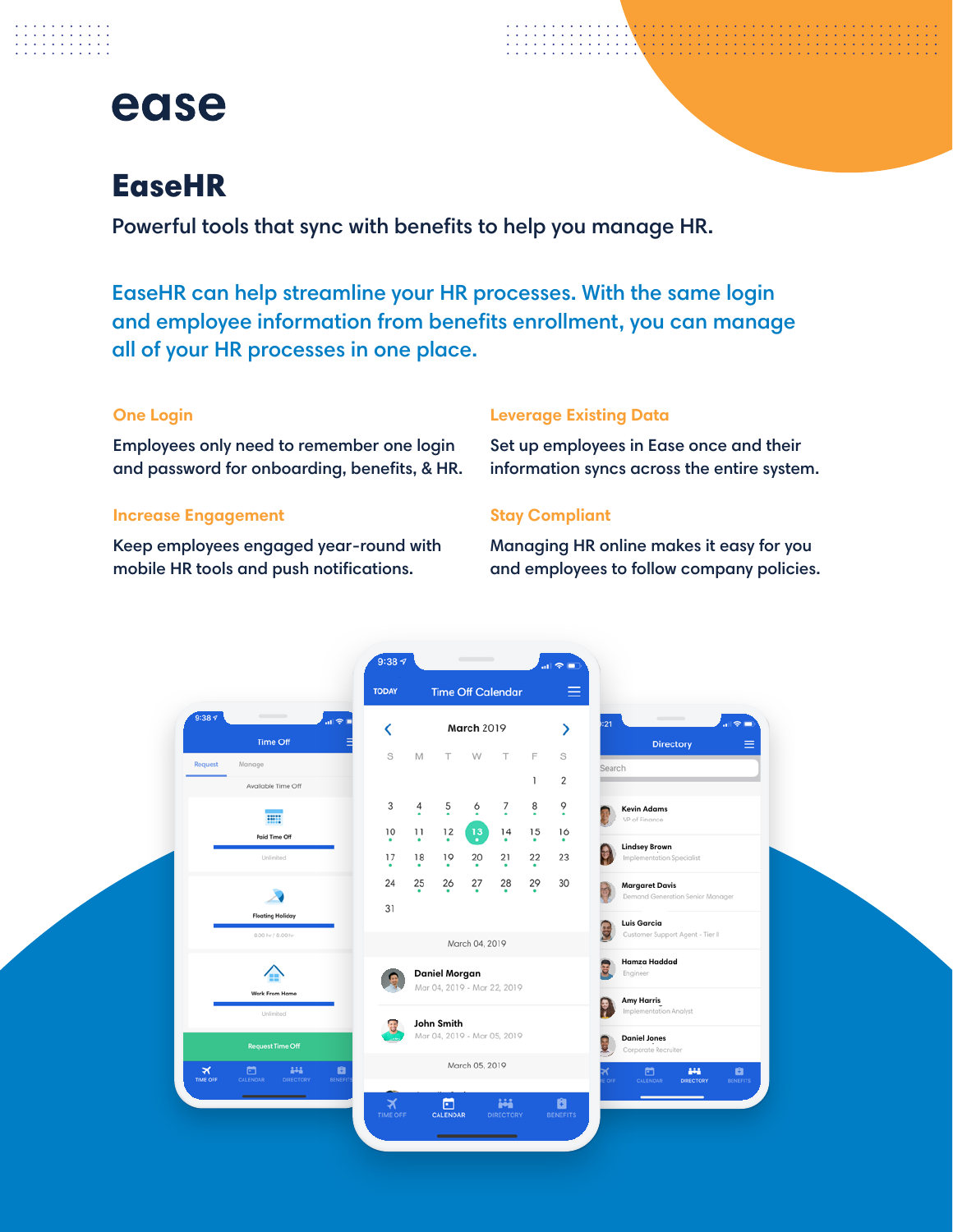

and a straight and . . . . . . . .<br>. . . . . . . .

## **EaseHR**

Powerful tools that sync with benefits to help you manage HR.

EaseHR can help streamline your HR processes. With the same login and employee information from benefits enrollment, you can manage all of your HR processes in one place.

## **One Login**

Employees only need to remember one login and password for onboarding, benefits, & HR.

#### **Increase Engagement**

Keep employees engaged year-round with mobile HR tools and push notifications.

## **Leverage Existing Data**

Set up employees in Ease once and their information syncs across the entire system.

### **Stay Compliant**

Managing HR online makes it easy for you and employees to follow company policies.